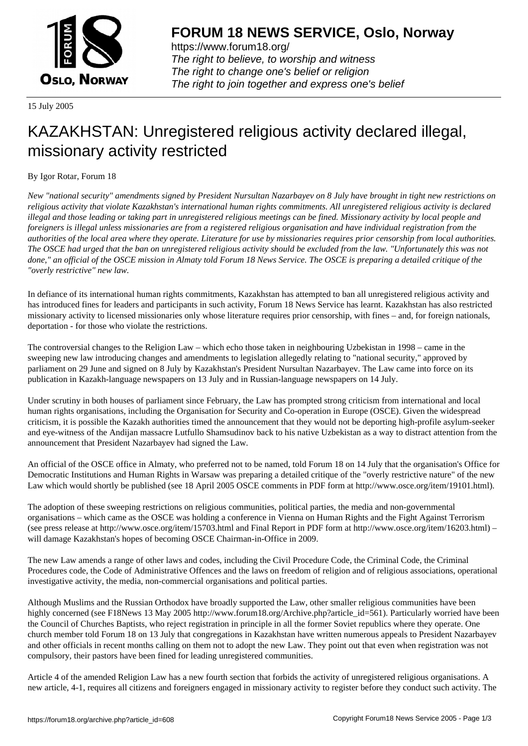

https://www.forum18.org/ The right to believe, to worship and witness The right to change one's belief or religion [The right to join together a](https://www.forum18.org/)nd express one's belief

15 July 2005

## [KAZAKHSTAN:](https://www.forum18.org) Unregistered religious activity declared illegal, missionary activity restricted

## By Igor Rotar, Forum 18

*New "national security" amendments signed by President Nursultan Nazarbayev on 8 July have brought in tight new restrictions on religious activity that violate Kazakhstan's international human rights commitments. All unregistered religious activity is declared illegal and those leading or taking part in unregistered religious meetings can be fined. Missionary activity by local people and foreigners is illegal unless missionaries are from a registered religious organisation and have individual registration from the authorities of the local area where they operate. Literature for use by missionaries requires prior censorship from local authorities. The OSCE had urged that the ban on unregistered religious activity should be excluded from the law. "Unfortunately this was not done," an official of the OSCE mission in Almaty told Forum 18 News Service. The OSCE is preparing a detailed critique of the "overly restrictive" new law.*

In defiance of its international human rights commitments, Kazakhstan has attempted to ban all unregistered religious activity and has introduced fines for leaders and participants in such activity, Forum 18 News Service has learnt. Kazakhstan has also restricted missionary activity to licensed missionaries only whose literature requires prior censorship, with fines – and, for foreign nationals, deportation - for those who violate the restrictions.

The controversial changes to the Religion Law – which echo those taken in neighbouring Uzbekistan in 1998 – came in the sweeping new law introducing changes and amendments to legislation allegedly relating to "national security," approved by parliament on 29 June and signed on 8 July by Kazakhstan's President Nursultan Nazarbayev. The Law came into force on its publication in Kazakh-language newspapers on 13 July and in Russian-language newspapers on 14 July.

Under scrutiny in both houses of parliament since February, the Law has prompted strong criticism from international and local human rights organisations, including the Organisation for Security and Co-operation in Europe (OSCE). Given the widespread criticism, it is possible the Kazakh authorities timed the announcement that they would not be deporting high-profile asylum-seeker and eye-witness of the Andijan massacre Lutfullo Shamsudinov back to his native Uzbekistan as a way to distract attention from the announcement that President Nazarbayev had signed the Law.

An official of the OSCE office in Almaty, who preferred not to be named, told Forum 18 on 14 July that the organisation's Office for Democratic Institutions and Human Rights in Warsaw was preparing a detailed critique of the "overly restrictive nature" of the new Law which would shortly be published (see 18 April 2005 OSCE comments in PDF form at http://www.osce.org/item/19101.html).

The adoption of these sweeping restrictions on religious communities, political parties, the media and non-governmental organisations – which came as the OSCE was holding a conference in Vienna on Human Rights and the Fight Against Terrorism (see press release at http://www.osce.org/item/15703.html and Final Report in PDF form at http://www.osce.org/item/16203.html) – will damage Kazakhstan's hopes of becoming OSCE Chairman-in-Office in 2009.

The new Law amends a range of other laws and codes, including the Civil Procedure Code, the Criminal Code, the Criminal Procedures code, the Code of Administrative Offences and the laws on freedom of religion and of religious associations, operational investigative activity, the media, non-commercial organisations and political parties.

Although Muslims and the Russian Orthodox have broadly supported the Law, other smaller religious communities have been highly concerned (see F18News 13 May 2005 http://www.forum18.org/Archive.php?article\_id=561). Particularly worried have been the Council of Churches Baptists, who reject registration in principle in all the former Soviet republics where they operate. One church member told Forum 18 on 13 July that congregations in Kazakhstan have written numerous appeals to President Nazarbayev and other officials in recent months calling on them not to adopt the new Law. They point out that even when registration was not compulsory, their pastors have been fined for leading unregistered communities.

Article 4 of the amended Religion Law has a new fourth section that forbids the activity of unregistered religious organisations. A new article, 4-1, requires all citizens and foreigners engaged in missionary activity to register before they conduct such activity. The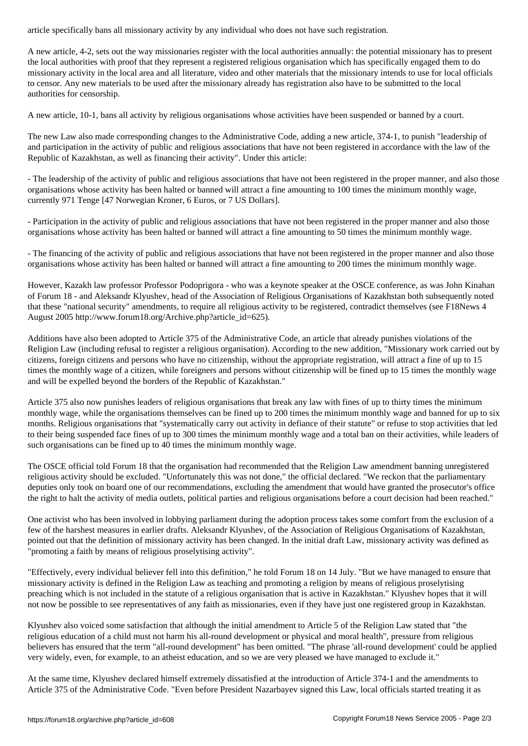A new article, 4-2, sets out the way missionaries register with the local authorities annually: the potential missionary has to present the local authorities with proof that they represent a registered religious organisation which has specifically engaged them to do missionary activity in the local area and all literature, video and other materials that the missionary intends to use for local officials to censor. Any new materials to be used after the missionary already has registration also have to be submitted to the local authorities for censorship.

A new article, 10-1, bans all activity by religious organisations whose activities have been suspended or banned by a court.

The new Law also made corresponding changes to the Administrative Code, adding a new article, 374-1, to punish "leadership of and participation in the activity of public and religious associations that have not been registered in accordance with the law of the Republic of Kazakhstan, as well as financing their activity". Under this article:

- The leadership of the activity of public and religious associations that have not been registered in the proper manner, and also those organisations whose activity has been halted or banned will attract a fine amounting to 100 times the minimum monthly wage, currently 971 Tenge [47 Norwegian Kroner, 6 Euros, or 7 US Dollars].

- Participation in the activity of public and religious associations that have not been registered in the proper manner and also those organisations whose activity has been halted or banned will attract a fine amounting to 50 times the minimum monthly wage.

- The financing of the activity of public and religious associations that have not been registered in the proper manner and also those organisations whose activity has been halted or banned will attract a fine amounting to 200 times the minimum monthly wage.

However, Kazakh law professor Professor Podoprigora - who was a keynote speaker at the OSCE conference, as was John Kinahan of Forum 18 - and Aleksandr Klyushev, head of the Association of Religious Organisations of Kazakhstan both subsequently noted that these "national security" amendments, to require all religious activity to be registered, contradict themselves (see F18News 4 August 2005 http://www.forum18.org/Archive.php?article\_id=625).

Additions have also been adopted to Article 375 of the Administrative Code, an article that already punishes violations of the Religion Law (including refusal to register a religious organisation). According to the new addition, "Missionary work carried out by citizens, foreign citizens and persons who have no citizenship, without the appropriate registration, will attract a fine of up to 15 times the monthly wage of a citizen, while foreigners and persons without citizenship will be fined up to 15 times the monthly wage and will be expelled beyond the borders of the Republic of Kazakhstan."

Article 375 also now punishes leaders of religious organisations that break any law with fines of up to thirty times the minimum monthly wage, while the organisations themselves can be fined up to 200 times the minimum monthly wage and banned for up to six months. Religious organisations that "systematically carry out activity in defiance of their statute" or refuse to stop activities that led to their being suspended face fines of up to 300 times the minimum monthly wage and a total ban on their activities, while leaders of such organisations can be fined up to 40 times the minimum monthly wage.

The OSCE official told Forum 18 that the organisation had recommended that the Religion Law amendment banning unregistered religious activity should be excluded. "Unfortunately this was not done," the official declared. "We reckon that the parliamentary deputies only took on board one of our recommendations, excluding the amendment that would have granted the prosecutor's office the right to halt the activity of media outlets, political parties and religious organisations before a court decision had been reached."

One activist who has been involved in lobbying parliament during the adoption process takes some comfort from the exclusion of a few of the harshest measures in earlier drafts. Aleksandr Klyushev, of the Association of Religious Organisations of Kazakhstan, pointed out that the definition of missionary activity has been changed. In the initial draft Law, missionary activity was defined as "promoting a faith by means of religious proselytising activity".

"Effectively, every individual believer fell into this definition," he told Forum 18 on 14 July. "But we have managed to ensure that missionary activity is defined in the Religion Law as teaching and promoting a religion by means of religious proselytising preaching which is not included in the statute of a religious organisation that is active in Kazakhstan." Klyushev hopes that it will not now be possible to see representatives of any faith as missionaries, even if they have just one registered group in Kazakhstan.

Klyushev also voiced some satisfaction that although the initial amendment to Article 5 of the Religion Law stated that "the religious education of a child must not harm his all-round development or physical and moral health", pressure from religious believers has ensured that the term "all-round development" has been omitted. "The phrase 'all-round development' could be applied very widely, even, for example, to an atheist education, and so we are very pleased we have managed to exclude it."

At the same time, Klyushev declared himself extremely dissatisfied at the introduction of Article 374-1 and the amendments to Article 375 of the Administrative Code. "Even before President Nazarbayev signed this Law, local officials started treating it as